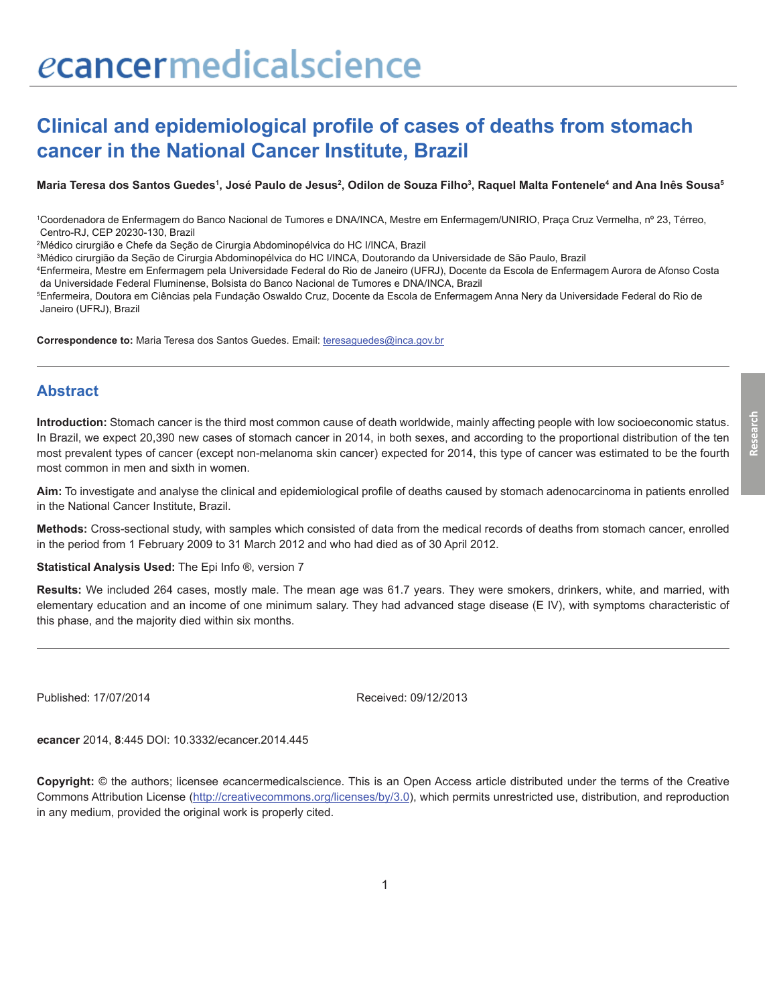# ecancermedicalscience

## **Clinical and epidemiological profile of cases of deaths from stomach cancer in the National Cancer Institute, Brazil**

Maria Teresa dos Santos Guedes<sup>1</sup>, José Paulo de Jesus<sup>2</sup>, Odilon de Souza Filho<sup>3</sup>, Raquel Malta Fontenele<sup>4</sup> and Ana Inês Sousa<sup>s</sup>

1 Coordenadora de Enfermagem do Banco Nacional de Tumores e DNA/INCA, Mestre em Enfermagem/UNIRIO, Praça Cruz Vermelha, nº 23, Térreo, Centro-RJ, CEP 20230-130, Brazil

2 Médico cirurgião e Chefe da Seção de Cirurgia Abdominopélvica do HC I/INCA, Brazil

3 Médico cirurgião da Seção de Cirurgia Abdominopélvica do HC I/INCA, Doutorando da Universidade de São Paulo, Brazil

4 Enfermeira, Mestre em Enfermagem pela Universidade Federal do Rio de Janeiro (UFRJ), Docente da Escola de Enfermagem Aurora de Afonso Costa da Universidade Federal Fluminense, Bolsista do Banco Nacional de Tumores e DNA/INCA, Brazil

5 Enfermeira, Doutora em Ciências pela Fundação Oswaldo Cruz, Docente da Escola de Enfermagem Anna Nery da Universidade Federal do Rio de Janeiro (UFRJ), Brazil

**Correspondence to:** Maria Teresa dos Santos Guedes. Email: teresaguedes@inca.gov.br

#### **Abstract**

**Introduction:** Stomach cancer is the third most common cause of death worldwide, mainly affecting people with low socioeconomic status. In Brazil, we expect 20,390 new cases of stomach cancer in 2014, in both sexes, and according to the proportional distribution of the ten most prevalent types of cancer (except non-melanoma skin cancer) expected for 2014, this type of cancer was estimated to be the fourth most common in men and sixth in women.

**Aim:** To investigate and analyse the clinical and epidemiological profile of deaths caused by stomach adenocarcinoma in patients enrolled in the National Cancer Institute, Brazil.

**Methods:** Cross-sectional study, with samples which consisted of data from the medical records of deaths from stomach cancer, enrolled in the period from 1 February 2009 to 31 March 2012 and who had died as of 30 April 2012.

**Statistical Analysis Used:** The Epi Info ®, version 7

**Results:** We included 264 cases, mostly male. The mean age was 61.7 years. They were smokers, drinkers, white, and married, with elementary education and an income of one minimum salary. They had advanced stage disease (E IV), with symptoms characteristic of this phase, and the majority died within six months.

Published: 17/07/2014 Received: 09/12/2013

*e***cancer** 2014, **8**:445 DOI: 10.3332/ecancer.2014.445

**Copyright:** © the authors; licensee *e*cancermedicalscience. This is an Open Access article distributed under the terms of the Creative Commons Attribution License (http://creativecommons.org/licenses/by/3.0), which permits unrestricted use, distribution, and reproduction in any medium, provided the original work is properly cited.

**Research**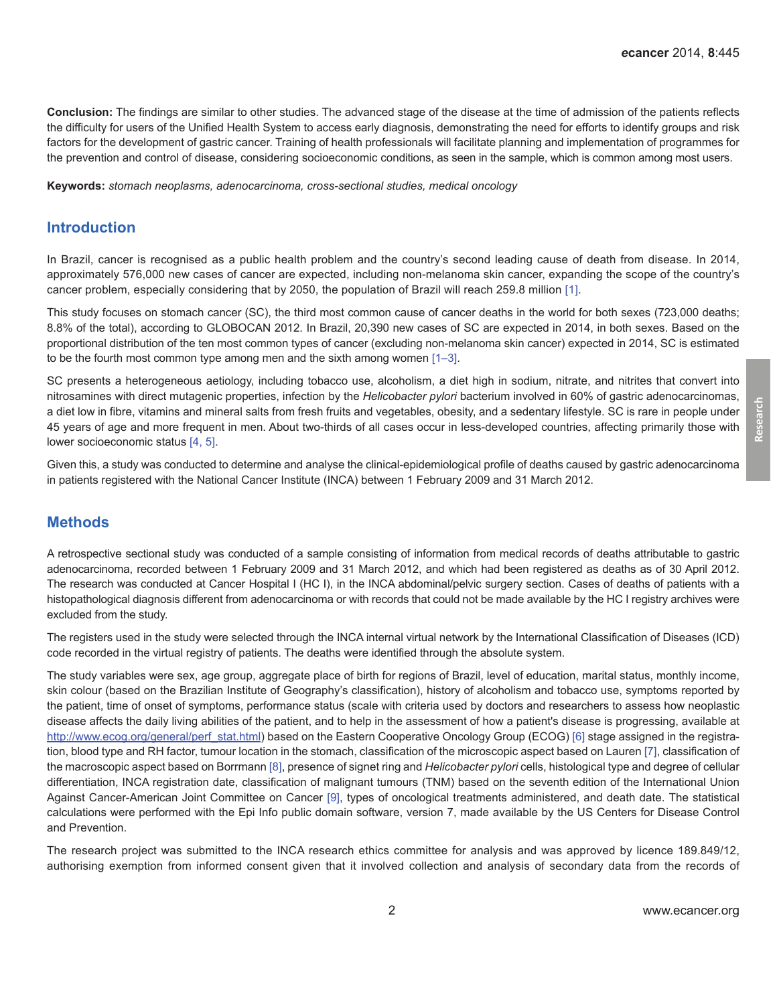**Conclusion:** The findings are similar to other studies. The advanced stage of the disease at the time of admission of the patients reflects the difficulty for users of the Unified Health System to access early diagnosis, demonstrating the need for efforts to identify groups and risk factors for the development of gastric cancer. Training of health professionals will facilitate planning and implementation of programmes for the prevention and control of disease, considering socioeconomic conditions, as seen in the sample, which is common among most users.

**Keywords:** *stomach neoplasms, adenocarcinoma, cross-sectional studies, medical oncology*

#### **Introduction**

In Brazil, cancer is recognised as a public health problem and the country's second leading cause of death from disease. In 2014, approximately 576,000 new cases of cancer are expected, including non-melanoma skin cancer, expanding the scope of the country's cancer problem, especially considering that by 2050, the population of Brazil will reach 259.8 million [\[1\].](#page-6-0)

This study focuses on stomach cancer (SC), the third most common cause of cancer deaths in the world for both sexes (723,000 deaths; 8.8% of the total), according to GLOBOCAN 2012. In Brazil, 20,390 new cases of SC are expected in 2014, in both sexes. Based on the proportional distribution of the ten most common types of cancer (excluding non-melanoma skin cancer) expected in 2014, SC is estimated to be the fourth most common type among men and the sixth among women  $[1-3]$ .

SC presents a heterogeneous aetiology, including tobacco use, alcoholism, a diet high in sodium, nitrate, and nitrites that convert into nitrosamines with direct mutagenic properties, infection by the *Helicobacter pylori* bacterium involved in 60% of gastric adenocarcinomas, a diet low in fibre, vitamins and mineral salts from fresh fruits and vegetables, obesity, and a sedentary lifestyle. SC is rare in people under 45 years of age and more frequent in men. About two-thirds of all cases occur in less-developed countries, affecting primarily those with lower socioeconomic status [\[4, 5\].](#page-7-0)

Given this, a study was conducted to determine and analyse the clinical-epidemiological profile of deaths caused by gastric adenocarcinoma in patients registered with the National Cancer Institute (INCA) between 1 February 2009 and 31 March 2012.

#### **Methods**

A retrospective sectional study was conducted of a sample consisting of information from medical records of deaths attributable to gastric adenocarcinoma, recorded between 1 February 2009 and 31 March 2012, and which had been registered as deaths as of 30 April 2012. The research was conducted at Cancer Hospital I (HC I), in the INCA abdominal/pelvic surgery section. Cases of deaths of patients with a histopathological diagnosis different from adenocarcinoma or with records that could not be made available by the HC I registry archives were excluded from the study.

The registers used in the study were selected through the INCA internal virtual network by the International Classification of Diseases (ICD) code recorded in the virtual registry of patients. The deaths were identified through the absolute system.

The study variables were sex, age group, aggregate place of birth for regions of Brazil, level of education, marital status, monthly income, skin colour (based on the Brazilian Institute of Geography's classification), history of alcoholism and tobacco use, symptoms reported by the patient, time of onset of symptoms, performance status (scale with criteria used by doctors and researchers to assess how neoplastic disease affects the daily living abilities of the patient, and to help in the assessment of how a patient's disease is progressing, available at [http://www.ecog.org/general/perf\\_stat.html\)](http://www.ecog.org/general/perf_stat.html) based on the Eastern Cooperative Oncology Group (ECOG) [\[6\]](#page-7-0) stage assigned in the registration, blood type and RH factor, tumour location in the stomach, classification of the microscopic aspect based on Lauren [\[7\],](#page-7-0) classification of the macroscopic aspect based on Borrmann [\[8\]](#page-7-0), presence of signet ring and *Helicobacter pylori* cells, histological type and degree of cellular differentiation, INCA registration date, classification of malignant tumours (TNM) based on the seventh edition of the International Union Against Cancer-American Joint Committee on Cancer [\[9\],](#page-7-0) types of oncological treatments administered, and death date. The statistical calculations were performed with the Epi Info public domain software, version 7, made available by the US Centers for Disease Control and Prevention.

The research project was submitted to the INCA research ethics committee for analysis and was approved by licence 189.849/12, authorising exemption from informed consent given that it involved collection and analysis of secondary data from the records of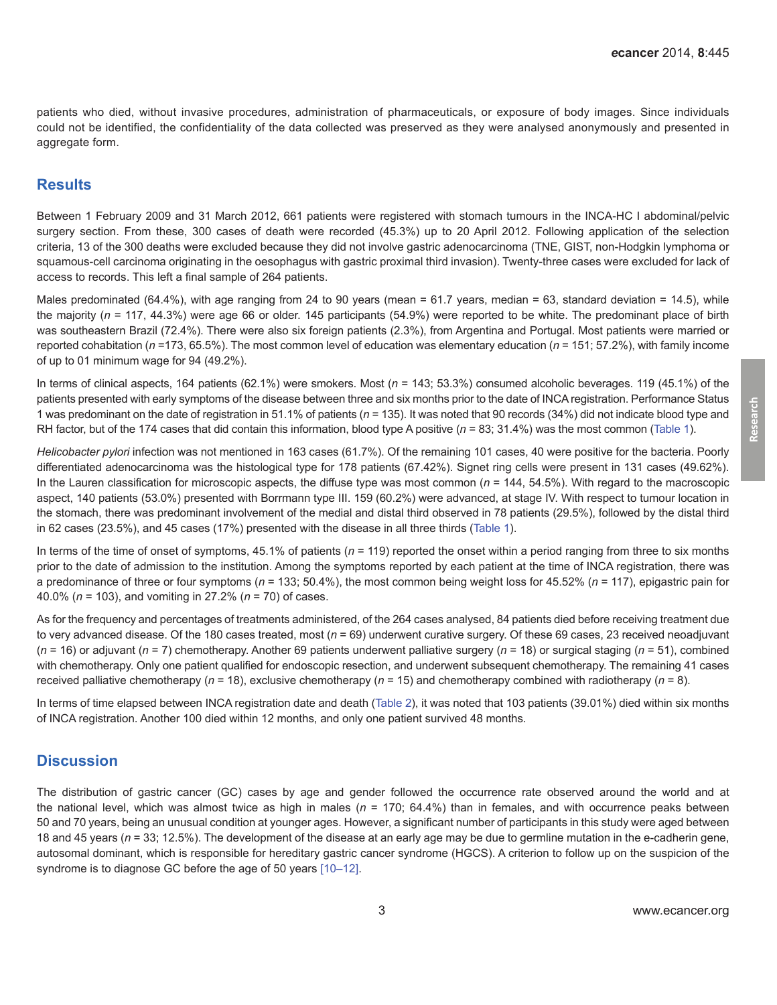patients who died, without invasive procedures, administration of pharmaceuticals, or exposure of body images. Since individuals could not be identified, the confidentiality of the data collected was preserved as they were analysed anonymously and presented in aggregate form.

#### **Results**

Between 1 February 2009 and 31 March 2012, 661 patients were registered with stomach tumours in the INCA-HC I abdominal/pelvic surgery section. From these, 300 cases of death were recorded (45.3%) up to 20 April 2012. Following application of the selection criteria, 13 of the 300 deaths were excluded because they did not involve gastric adenocarcinoma (TNE, GIST, non-Hodgkin lymphoma or squamous-cell carcinoma originating in the oesophagus with gastric proximal third invasion). Twenty-three cases were excluded for lack of access to records. This left a final sample of 264 patients.

Males predominated (64.4%), with age ranging from 24 to 90 years (mean = 61.7 years, median = 63, standard deviation = 14.5), while the majority (*n* = 117, 44.3%) were age 66 or older. 145 participants (54.9%) were reported to be white. The predominant place of birth was southeastern Brazil (72.4%). There were also six foreign patients (2.3%), from Argentina and Portugal. Most patients were married or reported cohabitation (*n* =173, 65.5%). The most common level of education was elementary education (*n* = 151; 57.2%), with family income of up to 01 minimum wage for 94 (49.2%).

In terms of clinical aspects, 164 patients (62.1%) were smokers. Most (*n* = 143; 53.3%) consumed alcoholic beverages. 119 (45.1%) of the patients presented with early symptoms of the disease between three and six months prior to the date of INCA registration. Performance Status 1 was predominant on the date of registration in 51.1% of patients (*n* = 135). It was noted that 90 records (34%) did not indicate blood type and RH factor, but of the 174 cases that did contain this information, blood type A positive  $(n = 83; 31.4%)$  was the most common [\(Table 1\)](#page-3-0).

*Helicobacter pylori* infection was not mentioned in 163 cases (61.7%). Of the remaining 101 cases, 40 were positive for the bacteria. Poorly differentiated adenocarcinoma was the histological type for 178 patients (67.42%). Signet ring cells were present in 131 cases (49.62%). In the Lauren classification for microscopic aspects, the diffuse type was most common  $(n = 144, 54.5\%)$ . With regard to the macroscopic aspect, 140 patients (53.0%) presented with Borrmann type III. 159 (60.2%) were advanced, at stage IV. With respect to tumour location in the stomach, there was predominant involvement of the medial and distal third observed in 78 patients (29.5%), followed by the distal third in 62 cases (23.5%), and 45 cases (17%) presented with the disease in all three thirds [\(Table 1\)](#page-3-0).

In terms of the time of onset of symptoms, 45.1% of patients (*n* = 119) reported the onset within a period ranging from three to six months prior to the date of admission to the institution. Among the symptoms reported by each patient at the time of INCA registration, there was a predominance of three or four symptoms (*n* = 133; 50.4%), the most common being weight loss for 45.52% (*n* = 117), epigastric pain for 40.0% (*n* = 103), and vomiting in 27.2% (*n* = 70) of cases.

As for the frequency and percentages of treatments administered, of the 264 cases analysed, 84 patients died before receiving treatment due to very advanced disease. Of the 180 cases treated, most (*n* = 69) underwent curative surgery. Of these 69 cases, 23 received neoadjuvant (*n* = 16) or adjuvant (*n* = 7) chemotherapy. Another 69 patients underwent palliative surgery (*n* = 18) or surgical staging (*n* = 51), combined with chemotherapy. Only one patient qualified for endoscopic resection, and underwent subsequent chemotherapy. The remaining 41 cases received palliative chemotherapy (*n* = 18), exclusive chemotherapy (*n* = 15) and chemotherapy combined with radiotherapy (*n* = 8).

In terms of time elapsed between INCA registration date and death ([Table 2](#page-4-0)), it was noted that 103 patients (39.01%) died within six months of INCA registration. Another 100 died within 12 months, and only one patient survived 48 months.

#### **Discussion**

The distribution of gastric cancer (GC) cases by age and gender followed the occurrence rate observed around the world and at the national level, which was almost twice as high in males (*n* = 170; 64.4%) than in females, and with occurrence peaks between 50 and 70 years, being an unusual condition at younger ages. However, a significant number of participants in this study were aged between 18 and 45 years (*n* = 33; 12.5%). The development of the disease at an early age may be due to germline mutation in the e-cadherin gene, autosomal dominant, which is responsible for hereditary gastric cancer syndrome (HGCS). A criterion to follow up on the suspicion of the syndrome is to diagnose GC before the age of 50 years [\[10–12\].](#page-7-0)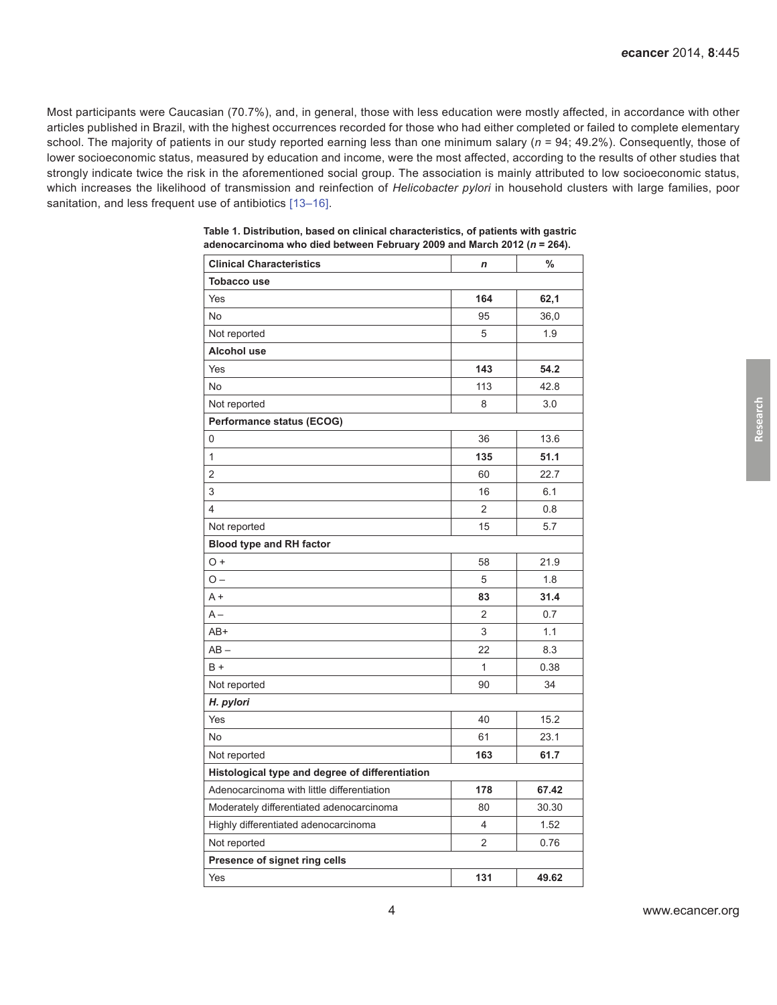<span id="page-3-0"></span>Most participants were Caucasian (70.7%), and, in general, those with less education were mostly affected, in accordance with other articles published in Brazil, with the highest occurrences recorded for those who had either completed or failed to complete elementary school. The majority of patients in our study reported earning less than one minimum salary (*n* = 94; 49.2%). Consequently, those of lower socioeconomic status, measured by education and income, were the most affected, according to the results of other studies that strongly indicate twice the risk in the aforementioned social group. The association is mainly attributed to low socioeconomic status, which increases the likelihood of transmission and reinfection of *Helicobacter pylori* in household clusters with large families, poor sanitation, and less frequent use of antibiotics [\[13–16\]](#page-7-0).

| <b>Clinical Characteristics</b>                 | $\boldsymbol{n}$ | %     |
|-------------------------------------------------|------------------|-------|
| <b>Tobacco use</b>                              |                  |       |
| Yes                                             | 164              | 62,1  |
| No                                              | 95               | 36,0  |
| Not reported                                    | 5                | 1.9   |
| Alcohol use                                     |                  |       |
| Yes                                             | 143              | 54.2  |
| No                                              | 113              | 42.8  |
| Not reported                                    | 8                | 3.0   |
| Performance status (ECOG)                       |                  |       |
| 0                                               | 36               | 13.6  |
| $\mathbf{1}$                                    | 135              | 51.1  |
| $\overline{2}$                                  | 60               | 22.7  |
| 3                                               | 16               | 6.1   |
| $\overline{4}$                                  | $\overline{2}$   | 0.8   |
| Not reported                                    | 15               | 5.7   |
| <b>Blood type and RH factor</b>                 |                  |       |
| $O +$                                           | 58               | 21.9  |
| $O -$                                           | 5                | 1.8   |
| $A +$                                           | 83               | 31.4  |
| $A -$                                           | $\overline{2}$   | 0.7   |
| AB+                                             | 3                | 1.1   |
| $AB -$                                          | 22               | 8.3   |
| $B +$                                           | 1                | 0.38  |
| Not reported                                    | 90               | 34    |
| H. pylori                                       |                  |       |
| Yes                                             | 40               | 15.2  |
| No                                              | 61               | 23.1  |
| Not reported                                    | 163              | 61.7  |
| Histological type and degree of differentiation |                  |       |
| Adenocarcinoma with little differentiation      | 178              | 67.42 |
| Moderately differentiated adenocarcinoma        | 80               | 30.30 |
| Highly differentiated adenocarcinoma            | 4                | 1.52  |
| Not reported                                    | $\overline{2}$   | 0.76  |
| Presence of signet ring cells                   |                  |       |
| Yes                                             | 131              | 49.62 |

| Table 1. Distribution, based on clinical characteristics, of patients with gastric |  |  |  |
|------------------------------------------------------------------------------------|--|--|--|
| adenocarcinoma who died between February 2009 and March 2012 ( $n = 264$ ).        |  |  |  |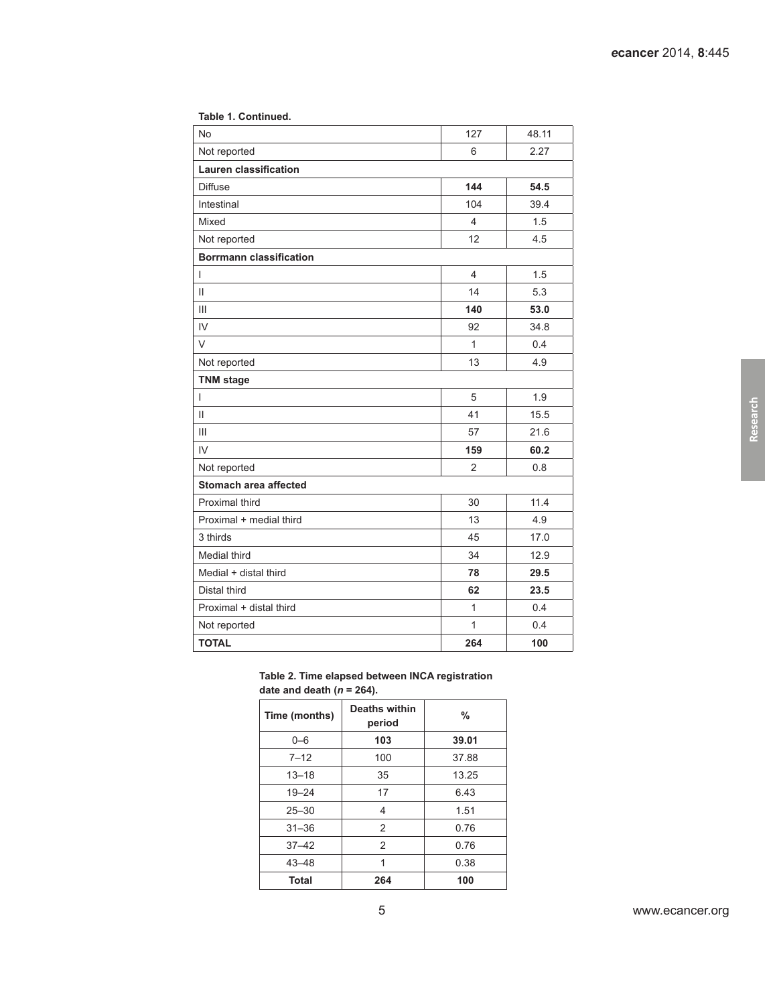| No                             | 127            | 48.11 |  |  |  |  |
|--------------------------------|----------------|-------|--|--|--|--|
| Not reported                   | 6              | 2.27  |  |  |  |  |
| <b>Lauren classification</b>   |                |       |  |  |  |  |
| <b>Diffuse</b>                 | 144            | 54.5  |  |  |  |  |
| Intestinal                     | 104            | 39.4  |  |  |  |  |
| Mixed                          | 4              | 1.5   |  |  |  |  |
| Not reported                   | 12             | 4.5   |  |  |  |  |
| <b>Borrmann classification</b> |                |       |  |  |  |  |
| I                              | $\overline{4}$ | 1.5   |  |  |  |  |
| Ш                              | 14             | 5.3   |  |  |  |  |
| III                            | 140            | 53.0  |  |  |  |  |
| IV                             | 92             | 34.8  |  |  |  |  |
| V                              | $\mathbf{1}$   | 0.4   |  |  |  |  |
| Not reported                   | 13             | 4.9   |  |  |  |  |
| <b>TNM</b> stage               |                |       |  |  |  |  |
| I                              | 5              | 1.9   |  |  |  |  |
| Ш                              | 41             | 15.5  |  |  |  |  |
| III                            | 57             | 21.6  |  |  |  |  |
| IV                             | 159            | 60.2  |  |  |  |  |
| Not reported                   | $\overline{2}$ | 0.8   |  |  |  |  |
| <b>Stomach area affected</b>   |                |       |  |  |  |  |
| Proximal third                 | 30             | 11.4  |  |  |  |  |
| Proximal + medial third        | 13             | 4.9   |  |  |  |  |
| 3 thirds                       | 45             | 17.0  |  |  |  |  |
| Medial third                   | 34             | 12.9  |  |  |  |  |
| Medial + distal third          | 78             | 29.5  |  |  |  |  |
| Distal third                   | 62             | 23.5  |  |  |  |  |
| Proximal + distal third        | $\mathbf{1}$   | 0.4   |  |  |  |  |
| Not reported                   | $\mathbf{1}$   | 0.4   |  |  |  |  |
| <b>TOTAL</b>                   | 264            | 100   |  |  |  |  |
|                                |                |       |  |  |  |  |

#### <span id="page-4-0"></span>**Table 1. Continued.**

**Table 2. Time elapsed between INCA registration date and death (***n* **= 264).**

| Time (months) | Deaths within<br>period | %     |
|---------------|-------------------------|-------|
| $0 - 6$       | 103                     | 39.01 |
| $7 - 12$      | 100                     | 37.88 |
| $13 - 18$     | 35                      | 13.25 |
| $19 - 24$     | 17                      | 6.43  |
| $25 - 30$     | 4                       | 1.51  |
| $31 - 36$     | 2                       | 0.76  |
| $37 - 42$     | 2                       | 0.76  |
| $43 - 48$     | 1                       | 0.38  |
| <b>Total</b>  | 264                     | 100   |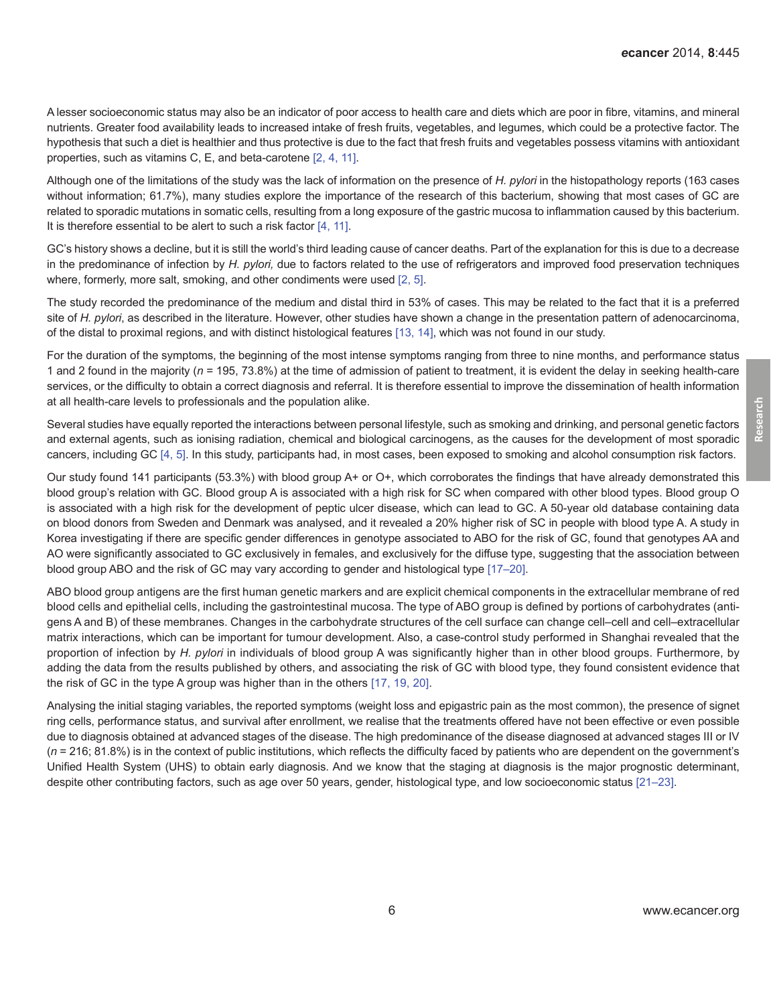A lesser socioeconomic status may also be an indicator of poor access to health care and diets which are poor in fibre, vitamins, and mineral nutrients. Greater food availability leads to increased intake of fresh fruits, vegetables, and legumes, which could be a protective factor. The hypothesis that such a diet is healthier and thus protective is due to the fact that fresh fruits and vegetables possess vitamins with antioxidant properties, such as vitamins C, E, and beta-carotene [\[2,](#page-6-0) [4, 11\].](#page-7-0)

Although one of the limitations of the study was the lack of information on the presence of *H. pylori* in the histopathology reports (163 cases without information; 61.7%), many studies explore the importance of the research of this bacterium, showing that most cases of GC are related to sporadic mutations in somatic cells, resulting from a long exposure of the gastric mucosa to inflammation caused by this bacterium. It is therefore essential to be alert to such a risk factor [\[4, 11\]](#page-7-0).

GC's history shows a decline, but it is still the world's third leading cause of cancer deaths. Part of the explanation for this is due to a decrease in the predominance of infection by *H. pylori,* due to factors related to the use of refrigerators and improved food preservation techniques where, formerly, more salt, smoking, and other condiments were used [\[2,](#page-6-0) [5\].](#page-7-0)

The study recorded the predominance of the medium and distal third in 53% of cases. This may be related to the fact that it is a preferred site of *H. pylori*, as described in the literature. However, other studies have shown a change in the presentation pattern of adenocarcinoma, of the distal to proximal regions, and with distinct histological features [\[13, 14\]](#page-7-0), which was not found in our study.

For the duration of the symptoms, the beginning of the most intense symptoms ranging from three to nine months, and performance status 1 and 2 found in the majority (*n* = 195, 73.8%) at the time of admission of patient to treatment, it is evident the delay in seeking health-care services, or the difficulty to obtain a correct diagnosis and referral. It is therefore essential to improve the dissemination of health information at all health-care levels to professionals and the population alike.

Several studies have equally reported the interactions between personal lifestyle, such as smoking and drinking, and personal genetic factors and external agents, such as ionising radiation, chemical and biological carcinogens, as the causes for the development of most sporadic cancers, including GC [\[4, 5\]](#page-7-0). In this study, participants had, in most cases, been exposed to smoking and alcohol consumption risk factors.

Our study found 141 participants (53.3%) with blood group A+ or O+, which corroborates the findings that have already demonstrated this blood group's relation with GC. Blood group A is associated with a high risk for SC when compared with other blood types. Blood group O is associated with a high risk for the development of peptic ulcer disease, which can lead to GC. A 50-year old database containing data on blood donors from Sweden and Denmark was analysed, and it revealed a 20% higher risk of SC in people with blood type A. A study in Korea investigating if there are specific gender differences in genotype associated to ABO for the risk of GC, found that genotypes AA and AO were significantly associated to GC exclusively in females, and exclusively for the diffuse type, suggesting that the association between blood group ABO and the risk of GC may vary according to gender and histological type [\[17–20\]](#page-7-0).

ABO blood group antigens are the first human genetic markers and are explicit chemical components in the extracellular membrane of red blood cells and epithelial cells, including the gastrointestinal mucosa. The type of ABO group is defined by portions of carbohydrates (antigens A and B) of these membranes. Changes in the carbohydrate structures of the cell surface can change cell–cell and cell–extracellular matrix interactions, which can be important for tumour development. Also, a case-control study performed in Shanghai revealed that the proportion of infection by *H. pylori* in individuals of blood group A was significantly higher than in other blood groups. Furthermore, by adding the data from the results published by others, and associating the risk of GC with blood type, they found consistent evidence that the risk of GC in the type A group was higher than in the others [\[17, 19, 20\]](#page-7-0).

Analysing the initial staging variables, the reported symptoms (weight loss and epigastric pain as the most common), the presence of signet ring cells, performance status, and survival after enrollment, we realise that the treatments offered have not been effective or even possible due to diagnosis obtained at advanced stages of the disease. The high predominance of the disease diagnosed at advanced stages III or IV (*n* = 216; 81.8%) is in the context of public institutions, which reflects the difficulty faced by patients who are dependent on the government's Unified Health System (UHS) to obtain early diagnosis. And we know that the staging at diagnosis is the major prognostic determinant, despite other contributing factors, such as age over 50 years, gender, histological type, and low socioeconomic status [\[21–](#page-7-0)[23\]](#page-8-0).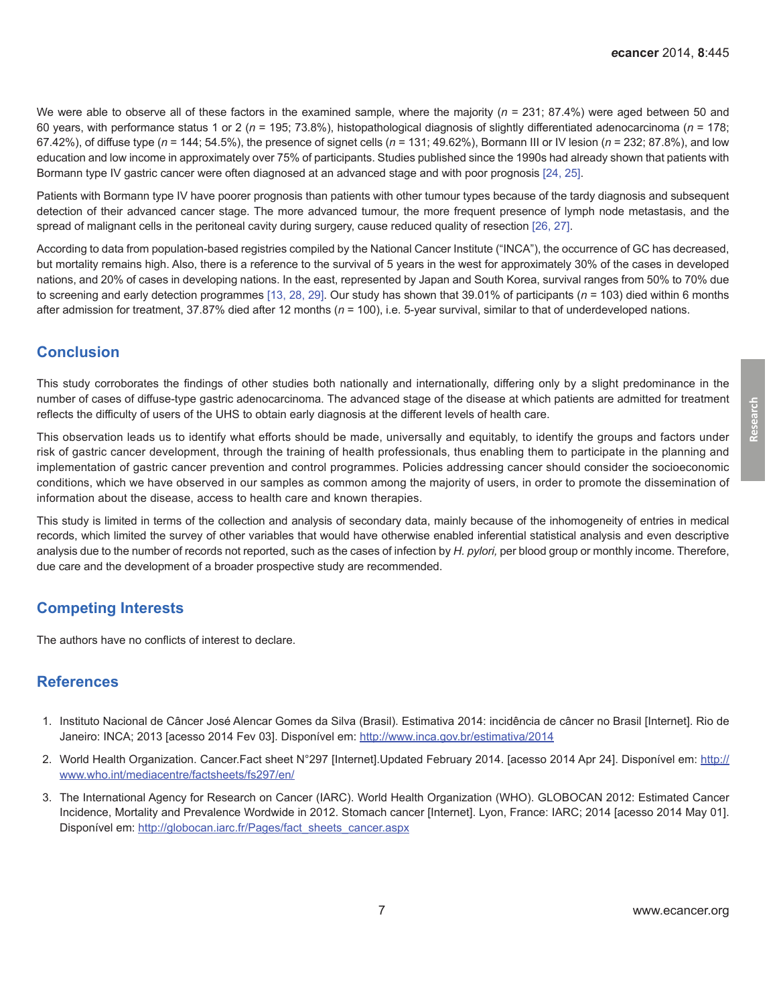<span id="page-6-0"></span>We were able to observe all of these factors in the examined sample, where the majority ( $n = 231$ ; 87.4%) were aged between 50 and 60 years, with performance status 1 or 2 (*n* = 195; 73.8%), histopathological diagnosis of slightly differentiated adenocarcinoma (*n* = 178; 67.42%), of diffuse type (*n* = 144; 54.5%), the presence of signet cells (*n* = 131; 49.62%), Bormann III or IV lesion (*n* = 232; 87.8%), and low education and low income in approximately over 75% of participants. Studies published since the 1990s had already shown that patients with Bormann type IV gastric cancer were often diagnosed at an advanced stage and with poor prognosis [\[24, 25](#page-8-0)].

Patients with Bormann type IV have poorer prognosis than patients with other tumour types because of the tardy diagnosis and subsequent detection of their advanced cancer stage. The more advanced tumour, the more frequent presence of lymph node metastasis, and the spread of malignant cells in the peritoneal cavity during surgery, cause reduced quality of resection [\[26, 27\]](#page-8-0).

According to data from population-based registries compiled by the National Cancer Institute ("INCA"), the occurrence of GC has decreased, but mortality remains high. Also, there is a reference to the survival of 5 years in the west for approximately 30% of the cases in developed nations, and 20% of cases in developing nations. In the east, represented by Japan and South Korea, survival ranges from 50% to 70% due to screening and early detection programmes [\[13,](#page-7-0) [28, 29\]](#page-8-0). Our study has shown that 39.01% of participants (*n* = 103) died within 6 months after admission for treatment, 37.87% died after 12 months (*n* = 100), i.e. 5-year survival, similar to that of underdeveloped nations.

#### **Conclusion**

This study corroborates the findings of other studies both nationally and internationally, differing only by a slight predominance in the number of cases of diffuse-type gastric adenocarcinoma. The advanced stage of the disease at which patients are admitted for treatment reflects the difficulty of users of the UHS to obtain early diagnosis at the different levels of health care.

This observation leads us to identify what efforts should be made, universally and equitably, to identify the groups and factors under risk of gastric cancer development, through the training of health professionals, thus enabling them to participate in the planning and implementation of gastric cancer prevention and control programmes. Policies addressing cancer should consider the socioeconomic conditions, which we have observed in our samples as common among the majority of users, in order to promote the dissemination of information about the disease, access to health care and known therapies.

This study is limited in terms of the collection and analysis of secondary data, mainly because of the inhomogeneity of entries in medical records, which limited the survey of other variables that would have otherwise enabled inferential statistical analysis and even descriptive analysis due to the number of records not reported, such as the cases of infection by *H. pylori,* per blood group or monthly income. Therefore, due care and the development of a broader prospective study are recommended.

### **Competing Interests**

The authors have no conflicts of interest to declare.

#### **References**

- 1. Instituto Nacional de Câncer José Alencar Gomes da Silva (Brasil). Estimativa 2014: incidência de câncer no Brasil [Internet]. Rio de Janeiro: INCA; 2013 [acesso 2014 Fev 03]. Disponível em: http://www.inca.gov.br/estimativa/2014
- 2. World Health Organization. Cancer.Fact sheet N°297 [Internet].Updated February 2014. [acesso 2014 Apr 24]. Disponível em: http:// www.who.int/mediacentre/factsheets/fs297/en/
- 3. The International Agency for Research on Cancer (IARC). World Health Organization (WHO). GLOBOCAN 2012: Estimated Cancer Incidence, Mortality and Prevalence Wordwide in 2012. Stomach cancer [Internet]. Lyon, France: IARC; 2014 [acesso 2014 May 01]. Disponível em: http://globocan.iarc.fr/Pages/fact\_sheets\_cancer.aspx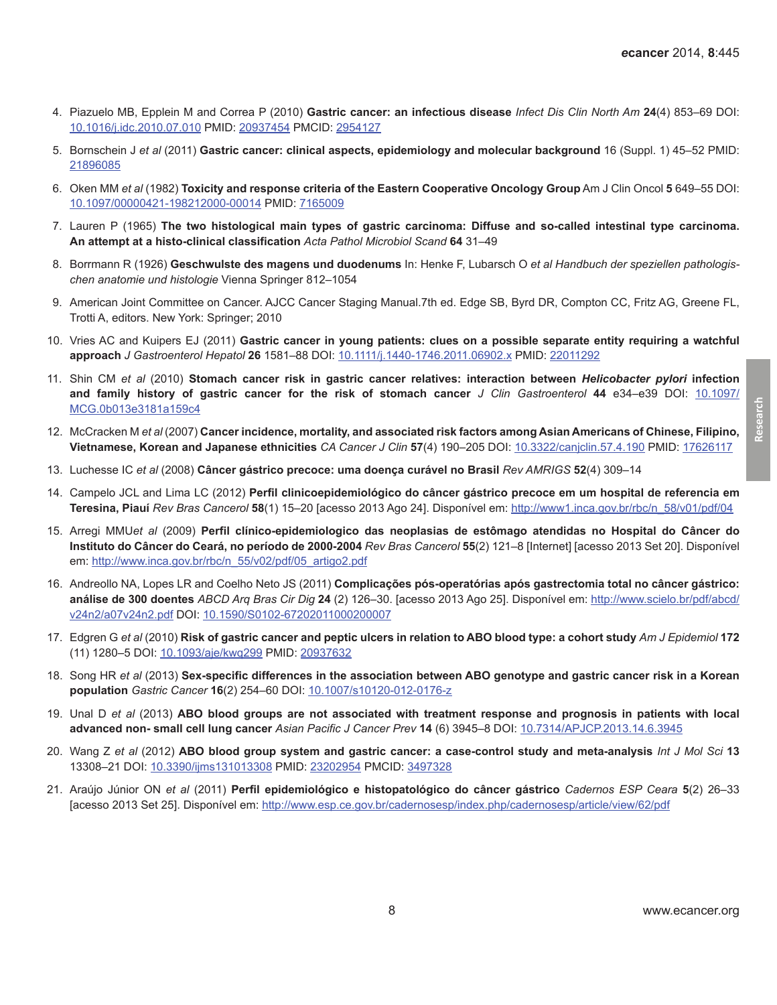- <span id="page-7-0"></span>4. Piazuelo MB, Epplein M and Correa P (2010) **Gastric cancer: an infectious disease** *Infect Dis Clin North Am* **24**(4) 853–69 DOI: [10.1016/j.idc.2010.07.010](http://dx.doi.org/10.1016/j.idc.2010.07.010) PMID: [20937454](http://www.ncbi.nlm.nih.gov/pubmed/20937454) PMCID: [2954127](http://www.ncbi.nlm.nih.gov/pmc/articles/PMC2954127)
- 5. Bornschein J *et al* (2011) **Gastric cancer: clinical aspects, epidemiology and molecular background** 16 (Suppl. 1) 45–52 PMID: [21896085](http://www.ncbi.nlm.nih.gov/pubmed/21896085)
- 6. Oken MM *et al* (1982) **Toxicity and response criteria of the Eastern Cooperative Oncology Group** Am J Clin Oncol **5** 649–55 DOI: [10.1097/00000421-198212000-00014](http://dx.doi.org/10.1097/00000421-198212000-00014) PMID: [7165009](http://www.ncbi.nlm.nih.gov/pubmed/7165009)
- 7. Lauren P (1965) **The two histological main types of gastric carcinoma: Diffuse and so-called intestinal type carcinoma. An attempt at a histo-clinical classification** *Acta Pathol Microbiol Scand* **64** 31–49
- 8. Borrmann R (1926) **Geschwulste des magens und duodenums** In: Henke F, Lubarsch O *et al Handbuch der speziellen pathologischen anatomie und histologie* Vienna Springer 812–1054
- 9. American Joint Committee on Cancer. AJCC Cancer Staging Manual.7th ed. Edge SB, Byrd DR, Compton CC, Fritz AG, Greene FL, Trotti A, editors. New York: Springer; 2010
- 10. Vries AC and Kuipers EJ (2011) **Gastric cancer in young patients: clues on a possible separate entity requiring a watchful approach** *J Gastroenterol Hepatol* **26** 1581–88 DOI: [10.1111/j.1440-1746.2011.06902.x](http://dx.doi.org/10.1111/j.1440-1746.2011.06902.x) PMID: [22011292](http://www.ncbi.nlm.nih.gov/pubmed/22011292)
- 11. Shin CM *et al* (2010) **Stomach cancer risk in gastric cancer relatives: interaction between** *Helicobacter pylori* **infection and family history of gastric cancer for the risk of stomach cancer** *J Clin Gastroenterol* **44** e34–e39 DOI: [10.1097/](http://dx.doi.org/10.1097/MCG.0b013e3181a159c4) [MCG.0b013e3181a159c4](http://dx.doi.org/10.1097/MCG.0b013e3181a159c4)
- 12. McCracken M *et al* (2007) **Cancer incidence, mortality, and associated risk factors among Asian Americans of Chinese, Filipino, Vietnamese, Korean and Japanese ethnicities** *CA Cancer J Clin* **57**(4) 190–205 DOI: [10.3322/canjclin.57.4.190](http://dx.doi.org/10.3322/canjclin.57.4.190) PMID: [17626117](http://www.ncbi.nlm.nih.gov/pubmed/17626117)
- 13. Luchesse IC *et al* (2008) **Câncer gástrico precoce: uma doença curável no Brasil** *Rev AMRIGS* **52**(4) 309–14
- 14. Campelo JCL and Lima LC (2012) **Perfil clinicoepidemiológico do câncer gástrico precoce em um hospital de referencia em Teresina, Piauí** *Rev Bras Cancerol* **58**(1) 15–20 [acesso 2013 Ago 24]. Disponível em: http://www1.inca.gov.br/rbc/n\_58/v01/pdf/04
- 15. Arregi MMU*et al* (2009) **Perfil clínico-epidemiologico das neoplasias de estômago atendidas no Hospital do Câncer do Instituto do Câncer do Ceará, no período de 2000-2004** *Rev Bras Cancerol* **55**(2) 121–8 [Internet] [acesso 2013 Set 20]. Disponível em: http://www.inca.gov.br/rbc/n\_55/v02/pdf/05\_artigo2.pdf
- 16. Andreollo NA, Lopes LR and Coelho Neto JS (2011) **Complicações pós-operatórias após gastrectomia total no câncer gástrico: análise de 300 doentes** *ABCD Arq Bras Cir Dig* **24** (2) 126–30. [acesso 2013 Ago 25]. Disponível em: http://www.scielo.br/pdf/abcd/ v24n2/a07v24n2.pdf DOI: [10.1590/S0102-67202011000200007](http://dx.doi.org/10.1590/S0102-67202011000200007)
- 17. Edgren G *et al* (2010) **Risk of gastric cancer and peptic ulcers in relation to ABO blood type: a cohort study** *Am J Epidemiol* **172** (11) 1280–5 DOI: [10.1093/aje/kwq299](http://dx.doi.org/10.1093/aje/kwq299) PMID: [20937632](http://www.ncbi.nlm.nih.gov/pubmed/20937632)
- 18. Song HR *et al* (2013) **Sex-specific differences in the association between ABO genotype and gastric cancer risk in a Korean population** *Gastric Cancer* **16**(2) 254–60 DOI: [10.1007/s10120-012-0176-z](http://dx.doi.org/10.1007/s10120-012-0176-z)
- 19. Unal D *et al* (2013) **ABO blood groups are not associated with treatment response and prognosis in patients with local advanced non- small cell lung cancer** *Asian Pacific J Cancer Prev* **14** (6) 3945–8 DOI: [10.7314/APJCP.2013.14.6.3945](http://dx.doi.org/10.7314/APJCP.2013.14.6.3945)
- 20. Wang Z *et al* (2012) **ABO blood group system and gastric cancer: a case-control study and meta-analysis** *Int J Mol Sci* **13** 13308–21 DOI: [10.3390/ijms131013308](http://dx.doi.org/10.3390/ijms131013308) PMID: [23202954](http://www.ncbi.nlm.nih.gov/pubmed/23202954) PMCID: [3497328](http://www.ncbi.nlm.nih.gov/pmc/articles/PMC3497328)
- 21. Araújo Júnior ON *et al* (2011) **Perfil epidemiológico e histopatológico do câncer gástrico** *Cadernos ESP Ceara* **5**(2) 26–33 [acesso 2013 Set 25]. Disponível em: http://www.esp.ce.gov.br/cadernosesp/index.php/cadernosesp/article/view/62/pdf